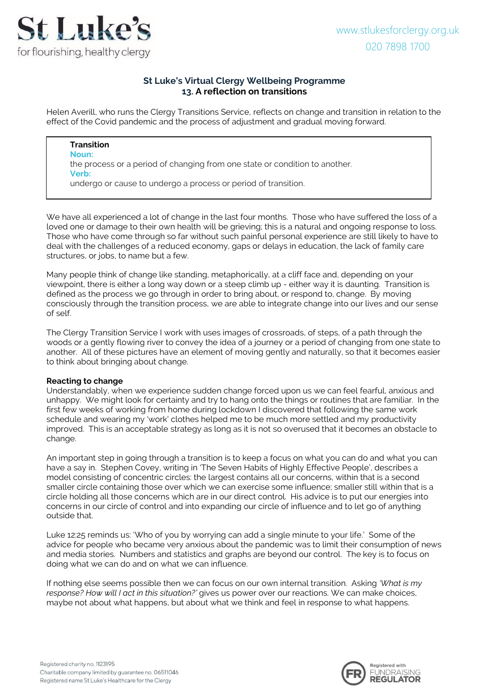

# **St Luke's Virtual Clergy Wellbeing Programme 13. A reflection on transitions**

Helen Averill, who runs the Clergy Transitions Service, reflects on change and transition in relation to the effect of the Covid pandemic and the process of adjustment and gradual moving forward.

#### **Transition Noun:**

the process or a period of changing from one state or condition to another. **Verb:**

undergo or cause to undergo a process or period of transition.

We have all experienced a lot of change in the last four months. Those who have suffered the loss of a loved one or damage to their own health will be grieving; this is a natural and ongoing response to loss. Those who have come through so far without such painful personal experience are still likely to have to deal with the challenges of a reduced economy, gaps or delays in education, the lack of family care structures, or jobs, to name but a few.

Many people think of change like standing, metaphorically, at a cliff face and, depending on your viewpoint, there is either a long way down or a steep climb up - either way it is daunting. Transition is defined as the process we go through in order to bring about, or respond to, change. By moving consciously through the transition process, we are able to integrate change into our lives and our sense of self.

The Clergy Transition Service I work with uses images of crossroads, of steps, of a path through the woods or a gently flowing river to convey the idea of a journey or a period of changing from one state to another. All of these pictures have an element of moving gently and naturally, so that it becomes easier to think about bringing about change.

## **Reacting to change**

Understandably, when we experience sudden change forced upon us we can feel fearful, anxious and unhappy. We might look for certainty and try to hang onto the things or routines that are familiar. In the first few weeks of working from home during lockdown I discovered that following the same work schedule and wearing my 'work' clothes helped me to be much more settled and my productivity improved. This is an acceptable strategy as long as it is not so overused that it becomes an obstacle to change.

An important step in going through a transition is to keep a focus on what you can do and what you can have a say in. Stephen Covey, writing in 'The Seven Habits of Highly Effective People', describes a model consisting of concentric circles: the largest contains all our concerns, within that is a second smaller circle containing those over which we can exercise some influence; smaller still within that is a circle holding all those concerns which are in our direct control. His advice is to put our energies into concerns in our circle of control and into expanding our circle of influence and to let go of anything outside that.

Luke 12:25 reminds us: 'Who of you by worrying can add a single minute to your life.' Some of the advice for people who became very anxious about the pandemic was to limit their consumption of news and media stories. Numbers and statistics and graphs are beyond our control. The key is to focus on doing what we can do and on what we can influence.

If nothing else seems possible then we can focus on our own internal transition. Asking *'What is my response? How will I act in this situation?'* gives us power over our reactions. We can make choices, maybe not about what happens, but about what we think and feel in response to what happens.